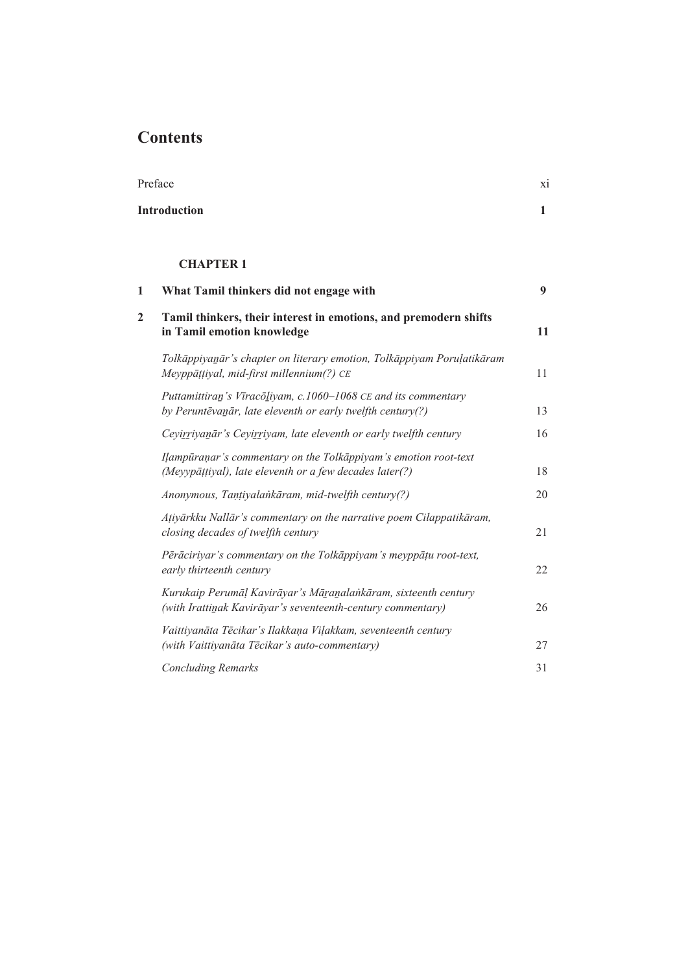## **Contents**

| Preface          |                                                                                                                               | X1 |
|------------------|-------------------------------------------------------------------------------------------------------------------------------|----|
|                  | <b>Introduction</b><br><b>CHAPTER 1</b>                                                                                       |    |
|                  |                                                                                                                               |    |
| 1                | What Tamil thinkers did not engage with                                                                                       | 9  |
| $\boldsymbol{2}$ | Tamil thinkers, their interest in emotions, and premodern shifts<br>in Tamil emotion knowledge                                | 11 |
|                  | Tolkāppiyanār's chapter on literary emotion, Tolkāppiyam Poruļatikāram<br>Meyppāṭṭiyal, mid-first millennium(?) CE            | 11 |
|                  | Puttamittiran's Vīracōliyam, c.1060-1068 CE and its commentary<br>by Peruntēvanār, late eleventh or early twelfth century(?)  | 13 |
|                  | Ceyirriyanār's Ceyirriyam, late eleventh or early twelfth century                                                             | 16 |
|                  | Ilampūraņar's commentary on the Tolkāppiyam's emotion root-text<br>(Meyypāṭṭiyal), late eleventh or a few decades later(?)    | 18 |
|                  | Anonymous, Tanțiyalankāram, mid-twelfth century(?)                                                                            | 20 |
|                  | Atiyārkku Nallār's commentary on the narrative poem Cilappatikāram,<br>closing decades of twelfth century                     | 21 |
|                  | Pērāciriyar's commentary on the Tolkāppiyam's meyppāțu root-text,<br>early thirteenth century                                 | 22 |
|                  | Kurukaip Perumāļ Kavirāyar's Māranalankāram, sixteenth century<br>(with Irattinak Kavirāyar's seventeenth-century commentary) | 26 |
|                  | Vaittiyanāta Tēcikar's Ilakkaņa Viļakkam, seventeenth century<br>(with Vaittiyanāta Tēcikar's auto-commentary)                | 27 |
|                  | <b>Concluding Remarks</b>                                                                                                     | 31 |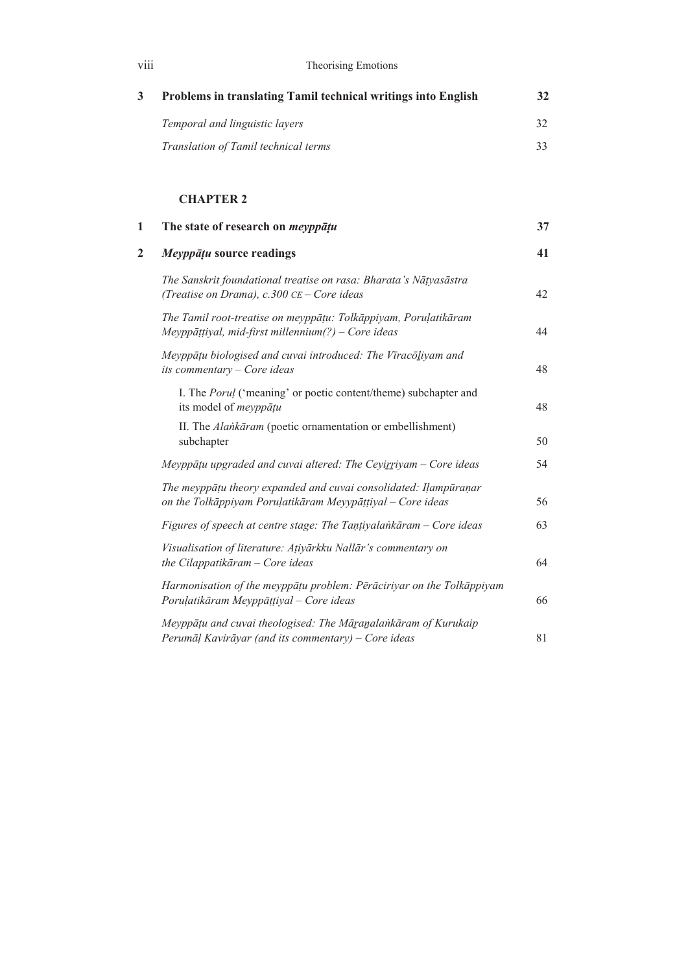| viii           | Theorising Emotions                                                                                                            |    |  |
|----------------|--------------------------------------------------------------------------------------------------------------------------------|----|--|
| $\mathbf{3}$   | Problems in translating Tamil technical writings into English                                                                  | 32 |  |
|                | Temporal and linguistic layers                                                                                                 | 32 |  |
|                | Translation of Tamil technical terms                                                                                           | 33 |  |
|                | <b>CHAPTER 2</b>                                                                                                               |    |  |
| 1              | The state of research on <i>meyppatu</i>                                                                                       | 37 |  |
| $\overline{2}$ | Meyppāțu source readings                                                                                                       | 41 |  |
|                | The Sanskrit foundational treatise on rasa: Bharata's Nātyasāstra<br>(Treatise on Drama), c.300 CE - Core ideas                | 42 |  |
|                | The Tamil root-treatise on meyppāțu: Tolkāppiyam, Poruļatikāram<br>Meyppāṭṭiyal, mid-first millennium $(?) - Core$ ideas       | 44 |  |
|                | Meyppāțu biologised and cuvai introduced: The Vīracōliyam and<br>its commentary - Core ideas                                   | 48 |  |
|                | I. The <i>Porul</i> ('meaning' or poetic content/theme) subchapter and<br>its model of meyppāțu                                | 48 |  |
|                | II. The Alankāram (poetic ornamentation or embellishment)<br>subchapter                                                        | 50 |  |
|                | Meyppāțu upgraded and cuvai altered: The Ceyirriyam - Core ideas                                                               | 54 |  |
|                | The meyppāțu theory expanded and cuvai consolidated: Ilampūraņar<br>on the Tolkāppiyam Poruļatikāram Meyypāṭṭiyal - Core ideas | 56 |  |
|                | Figures of speech at centre stage: The Tantiyalankāram - Core ideas                                                            | 63 |  |
|                | Visualisation of literature: Atiyārkku Nallār's commentary on<br>the Cilappatikāram - Core ideas                               | 64 |  |
|                | Harmonisation of the meyppāțu problem: Pērāciriyar on the Tolkāppiyam<br>Poruļatikāram Meyppāṭṭiyal - Core ideas               | 66 |  |
|                | Meyppāțu and cuvai theologised: The Māranalankāram of Kurukaip<br>Perumāļ Kavirāyar (and its commentary) - Core ideas          | 81 |  |